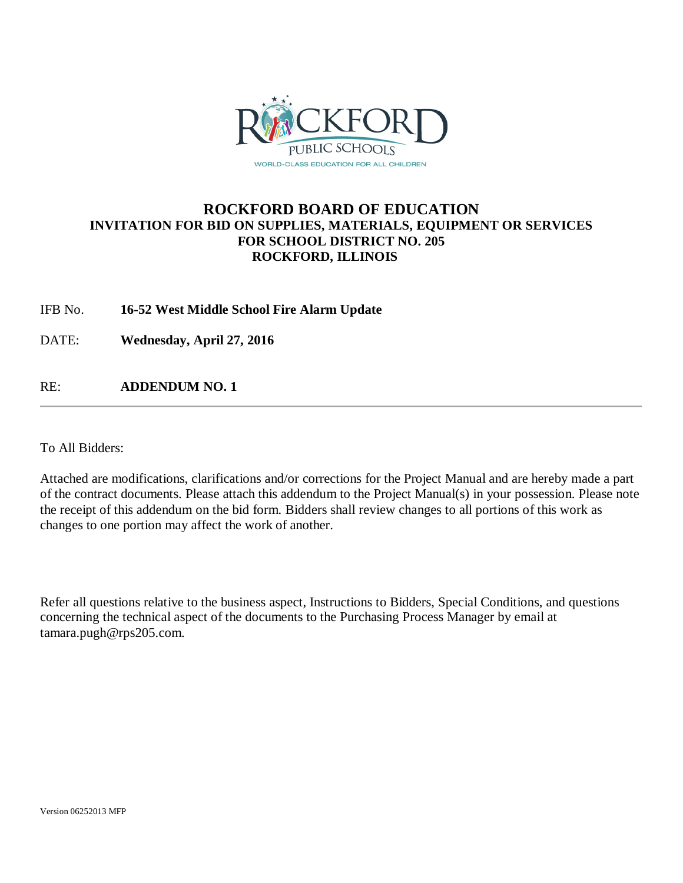

### **ROCKFORD BOARD OF EDUCATION INVITATION FOR BID ON SUPPLIES, MATERIALS, EQUIPMENT OR SERVICES FOR SCHOOL DISTRICT NO. 205 ROCKFORD, ILLINOIS**

IFB No. **16-52 West Middle School Fire Alarm Update**

DATE: **Wednesday, April 27, 2016**

RE: **ADDENDUM NO. 1**

To All Bidders:

Attached are modifications, clarifications and/or corrections for the Project Manual and are hereby made a part of the contract documents. Please attach this addendum to the Project Manual(s) in your possession. Please note the receipt of this addendum on the bid form. Bidders shall review changes to all portions of this work as changes to one portion may affect the work of another.

Refer all questions relative to the business aspect, Instructions to Bidders, Special Conditions, and questions concerning the technical aspect of the documents to the Purchasing Process Manager by email at tamara.pugh@rps205.com.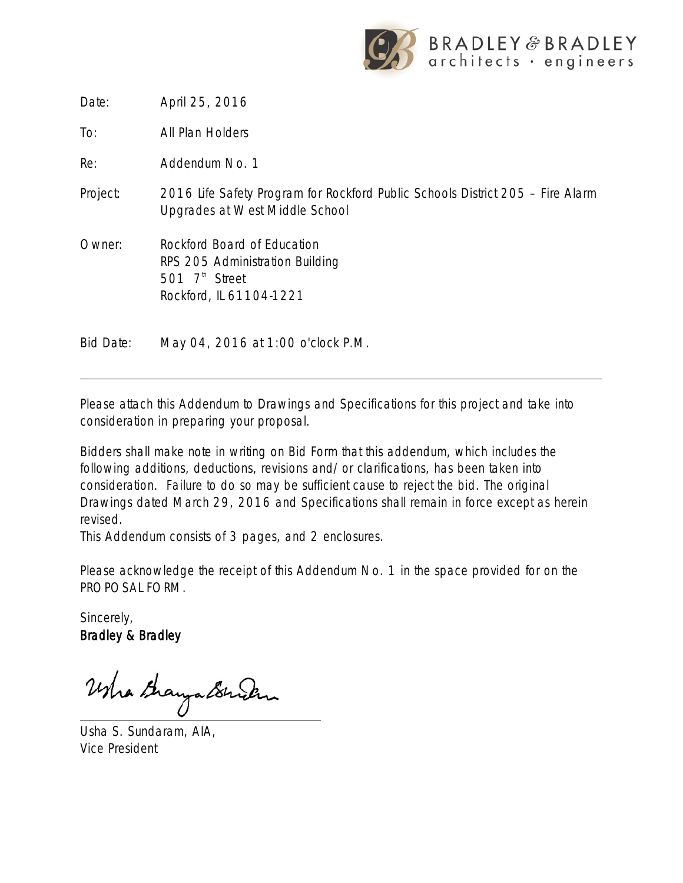

Date: April 25, 2016

To: All Plan Holders

Re: Addendum No. 1

- Project: 2016 Life Safety Program for Rockford Public Schools District 205 Fire Alarm Upgrades at West Middle School
- Owner: Rockford Board of Education RPS 205 Administration Building 501  $7<sup>th</sup>$  Street Rockford, IL 61104-1221

Bid Date: May 04, 2016 at 1:00 o'clock P.M.

Please attach this Addendum to Drawings and Specifications for this project and take into consideration in preparing your proposal.

Bidders shall make note in writing on Bid Form that this addendum, which includes the following additions, deductions, revisions and/or clarifications, has been taken into consideration. Failure to do so may be sufficient cause to reject the bid. The original Drawings dated March 29, 2016 and Specifications shall remain in force except as herein revised.

This Addendum consists of 3 pages, and 2 enclosures.

Please acknowledge the receipt of this Addendum No. 1 in the space provided for on the PROPOSAL FORM.

Sincerely, Bradley & Bradley

WhathayaBruch

Usha S. Sundaram, AIA, Vice President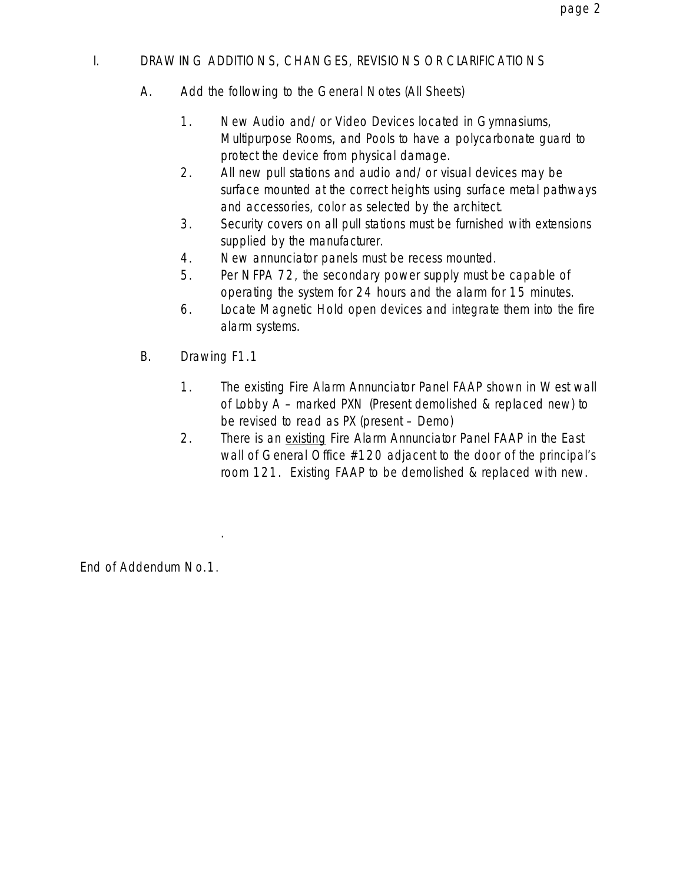### I. DRAWING ADDITIONS, CHANGES, REVISIONS OR CLARIFICATIONS

- A. Add the following to the General Notes (All Sheets)
	- 1. New Audio and/or Video Devices located in Gymnasiums, Multipurpose Rooms, and Pools to have a polycarbonate guard to protect the device from physical damage.
	- 2. All new pull stations and audio and/or visual devices may be surface mounted at the correct heights using surface metal pathways and accessories, color as selected by the architect.
	- 3. Security covers on all pull stations must be furnished with extensions supplied by the manufacturer.
	- 4. New annunciator panels must be recess mounted.
	- 5. Per NFPA 72, the secondary power supply must be capable of operating the system for 24 hours and the alarm for 15 minutes.
	- 6. Locate Magnetic Hold open devices and integrate them into the fire alarm systems.
- B. Drawing F1.1

.

- 1. The existing Fire Alarm Annunciator Panel FAAP shown in West wall of Lobby A – marked PXN (Present demolished & replaced new) to be revised to read as PX (present – Demo)
- 2. There is an existing Fire Alarm Annunciator Panel FAAP in the East wall of General Office #120 adjacent to the door of the principal's room 121. Existing FAAP to be demolished & replaced with new.

End of Addendum No.1.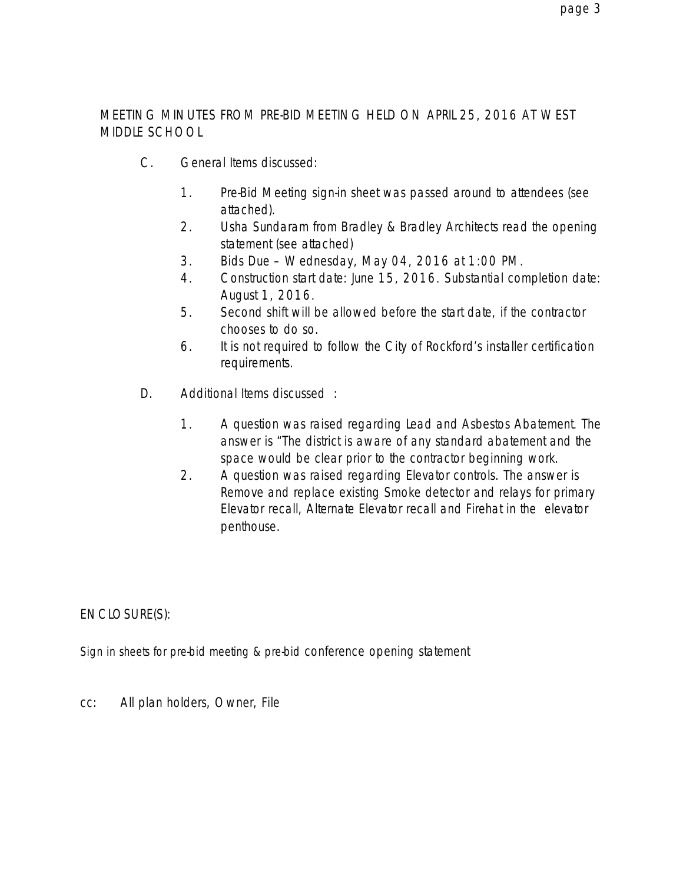### MEETING MINUTES FROM PRE-BID MEETING HELD ON APRIL 25, 2016 AT WEST MIDDLE SCHOOL

- C. General Items discussed:
	- 1. Pre-Bid Meeting sign-in sheet was passed around to attendees (see attached).
	- 2. Usha Sundaram from Bradley & Bradley Architects read the opening statement (see attached)
	- 3. Bids Due Wednesday, May 04, 2016 at 1:00 PM.
	- 4. Construction start date: June 15, 2016. Substantial completion date: August 1, 2016.
	- 5. Second shift will be allowed before the start date, if the contractor chooses to do so.
	- 6. It is not required to follow the City of Rockford's installer certification requirements.
- D. Additional Items discussed :
	- 1. A question was raised regarding Lead and Asbestos Abatement. The answer is "The district is aware of any standard abatement and the space would be clear prior to the contractor beginning work.
	- 2. A question was raised regarding Elevator controls. The answer is Remove and replace existing Smoke detector and relays for primary Elevator recall, Alternate Elevator recall and Firehat in the elevator penthouse.

ENCLOSURE(S):

Sign in sheets for pre-bid meeting & pre-bid conference opening statement

cc: All plan holders, Owner, File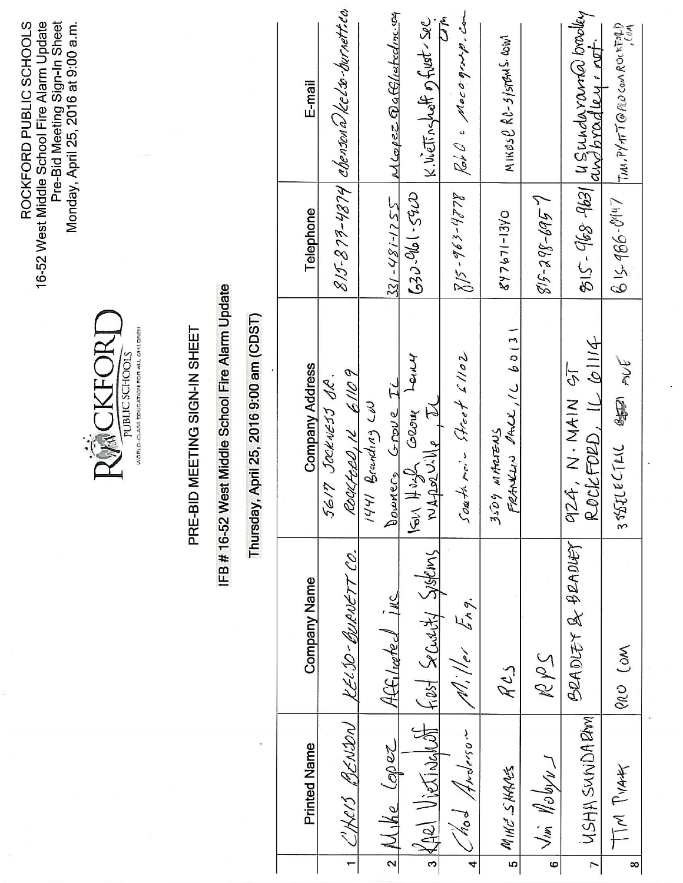16-52 West Middle School Fire Alarm Update<br>Pre-Bid Meeting Sign-In Sheet<br>Monday, April 25, 2016 at 9:00 a.m. ROCKFORD PUBLIC SCHOOLS



### PRE-BID MEETING SIGN-IN SHEET

# IFB #16-52 West Middle School Fire Alarm Update

## Thursday, April 25, 2016 9:00 am (CDST)

|                | <b>Printed Name</b>         | Company Name                                            | Company Address                        | Telephone          | E-mail                                                      |
|----------------|-----------------------------|---------------------------------------------------------|----------------------------------------|--------------------|-------------------------------------------------------------|
|                |                             |                                                         | 5617 Jockwess S.R.                     |                    |                                                             |
|                | CHRIS BENDON                | KEL 50-BURNETT CO.                                      | ROULFORD, 12 61109                     |                    | $8$ 15-879-4874 $\mid$ chenson $\hat{a}/$ kelso-burnett.eo. |
|                |                             |                                                         | $1441$ Branding $C10$                  |                    |                                                             |
|                | $2 \mathcal{M}_1 $ le Lopez | Hffilmted inc                                           | Downers Grove IL                       |                    | $381 - 481 - 1255$ Mcopez Qaffllutednessy                   |
|                |                             | $s$ (AR) $V$ $i$ etinghott $ f_{i}esf$ Security Systems | VEIR HUYS GROUP LEINY<br>NApoliike IL  | $630 - 966 - 5920$ | K. Wetragheth of fust-sec                                   |
|                |                             |                                                         |                                        |                    | سمهم                                                        |
|                | hod Anderson                | $M.$ Her Eng.                                           | South me's Street 61102                |                    | $8/5$ -963-4778 Rob C Mocogroup. Com                        |
| $\overline{5}$ | MIKE SHARES                 | RCS                                                     | FRANCIN PACK, 16 60131<br>3509 MARTENS | 847671-1340        | MIKOS $\ell$ RC-SYSTEMS COW                                 |
| $\bullet$      | Jim Nobyw                   | 2d                                                      |                                        | $815 - 298 - 6957$ |                                                             |
|                | USHA SUNDARM                | BRADLEY & BRADLEY                                       | ROCKFORD, IL CIII4<br>924, N.MAIN 95   |                    | 815-968 9631 4 Sundaranda brooky                            |
| $\infty$       | TM PVA4                     | Arco Com                                                | $355216$ CTLIC SEEP AVE                |                    | $615-986.09447$ TIM, PYATT@A0000A00KF040                    |
|                |                             |                                                         |                                        |                    |                                                             |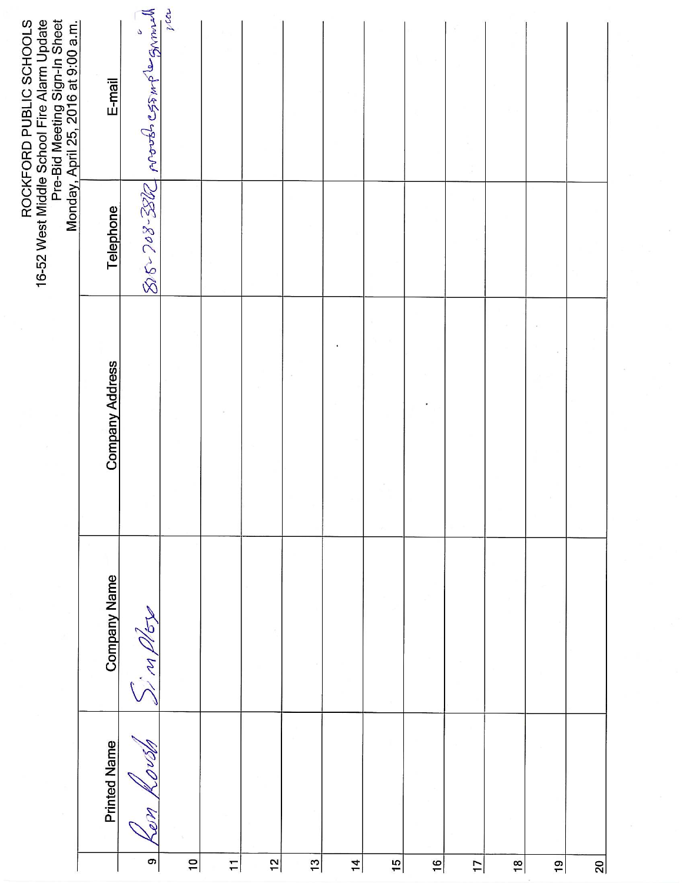|                 |                     |                     |                        |           | 16-52 West Middle School Fire Alarm Update<br>Pre-Bid Meeting Sign-In Sheet<br>Monday, April 25, 2016 at 9:00 a.m.<br>ROCKFORD PUBLIC SCHOOLS |
|-----------------|---------------------|---------------------|------------------------|-----------|-----------------------------------------------------------------------------------------------------------------------------------------------|
|                 | <b>Printed Name</b> | <b>Company Name</b> | <b>Company Address</b> | Telephone | E-mail                                                                                                                                        |
| <b>ຕ</b>        | do                  | indor               |                        |           | BS-288-2000 porobs 055 mp = 308                                                                                                               |
| $\frac{1}{2}$   |                     |                     |                        |           |                                                                                                                                               |
| $\overline{1}$  |                     |                     |                        |           |                                                                                                                                               |
| $\frac{1}{2}$   |                     |                     |                        |           |                                                                                                                                               |
| $\mathbf{c}$    |                     |                     |                        |           |                                                                                                                                               |
| $\overline{1}$  |                     |                     |                        |           |                                                                                                                                               |
| $\frac{15}{2}$  |                     |                     |                        |           |                                                                                                                                               |
| $\frac{16}{1}$  |                     |                     |                        |           |                                                                                                                                               |
| $\overline{17}$ |                     |                     |                        |           |                                                                                                                                               |
| $\frac{8}{18}$  |                     |                     |                        |           |                                                                                                                                               |
| $\frac{1}{2}$   |                     |                     |                        |           |                                                                                                                                               |
| <u>ର୍</u>       |                     |                     |                        |           |                                                                                                                                               |

 $\mathcal{C}$